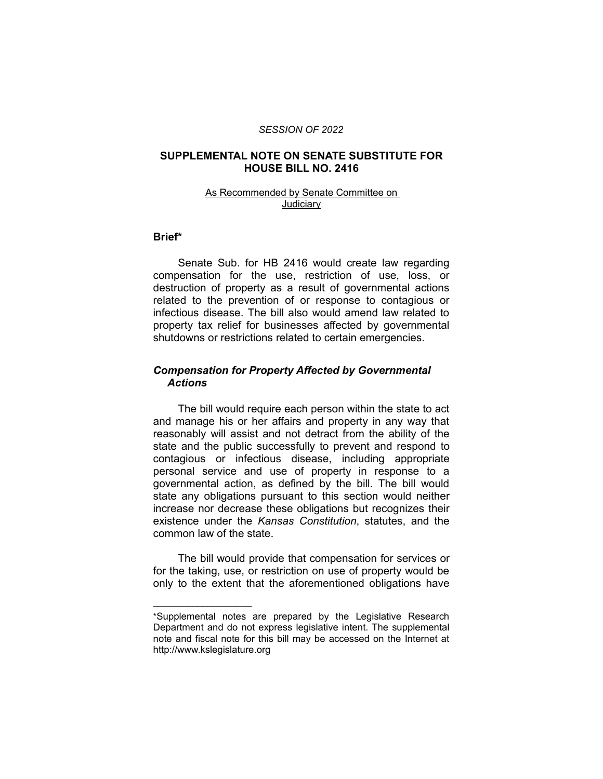#### *SESSION OF 2022*

## **SUPPLEMENTAL NOTE ON SENATE SUBSTITUTE FOR HOUSE BILL NO. 2416**

#### As Recommended by Senate Committee on Judiciary

#### **Brief\***

Senate Sub. for HB 2416 would create law regarding compensation for the use, restriction of use, loss, or destruction of property as a result of governmental actions related to the prevention of or response to contagious or infectious disease. The bill also would amend law related to property tax relief for businesses affected by governmental shutdowns or restrictions related to certain emergencies.

## *Compensation for Property Affected by Governmental Actions*

The bill would require each person within the state to act and manage his or her affairs and property in any way that reasonably will assist and not detract from the ability of the state and the public successfully to prevent and respond to contagious or infectious disease, including appropriate personal service and use of property in response to a governmental action, as defined by the bill. The bill would state any obligations pursuant to this section would neither increase nor decrease these obligations but recognizes their existence under the *Kansas Constitution*, statutes, and the common law of the state.

The bill would provide that compensation for services or for the taking, use, or restriction on use of property would be only to the extent that the aforementioned obligations have

 $\overline{\phantom{a}}$  , where  $\overline{\phantom{a}}$  , where  $\overline{\phantom{a}}$ 

<sup>\*</sup>Supplemental notes are prepared by the Legislative Research Department and do not express legislative intent. The supplemental note and fiscal note for this bill may be accessed on the Internet at http://www.kslegislature.org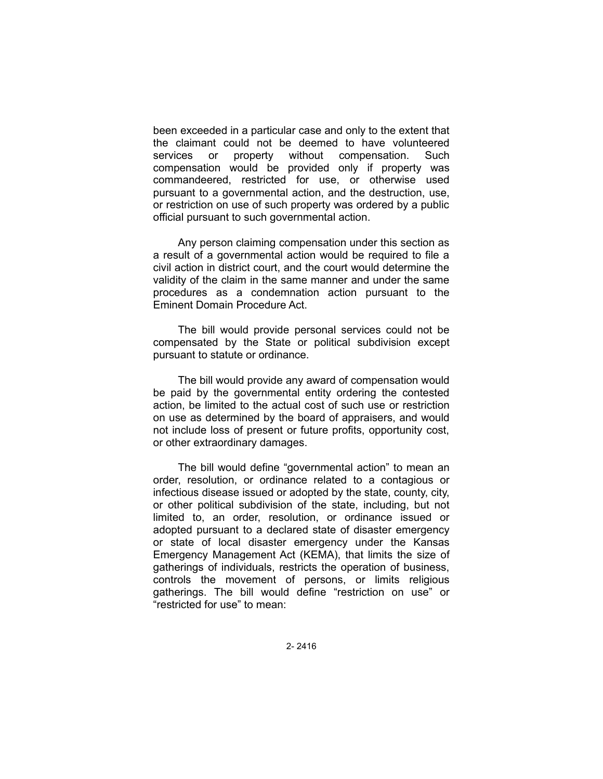been exceeded in a particular case and only to the extent that the claimant could not be deemed to have volunteered services or property without compensation. Such compensation would be provided only if property was commandeered, restricted for use, or otherwise used pursuant to a governmental action, and the destruction, use, or restriction on use of such property was ordered by a public official pursuant to such governmental action.

Any person claiming compensation under this section as a result of a governmental action would be required to file a civil action in district court, and the court would determine the validity of the claim in the same manner and under the same procedures as a condemnation action pursuant to the Eminent Domain Procedure Act.

The bill would provide personal services could not be compensated by the State or political subdivision except pursuant to statute or ordinance.

The bill would provide any award of compensation would be paid by the governmental entity ordering the contested action, be limited to the actual cost of such use or restriction on use as determined by the board of appraisers, and would not include loss of present or future profits, opportunity cost, or other extraordinary damages.

The bill would define "governmental action" to mean an order, resolution, or ordinance related to a contagious or infectious disease issued or adopted by the state, county, city, or other political subdivision of the state, including, but not limited to, an order, resolution, or ordinance issued or adopted pursuant to a declared state of disaster emergency or state of local disaster emergency under the Kansas Emergency Management Act (KEMA), that limits the size of gatherings of individuals, restricts the operation of business, controls the movement of persons, or limits religious gatherings. The bill would define "restriction on use" or "restricted for use" to mean: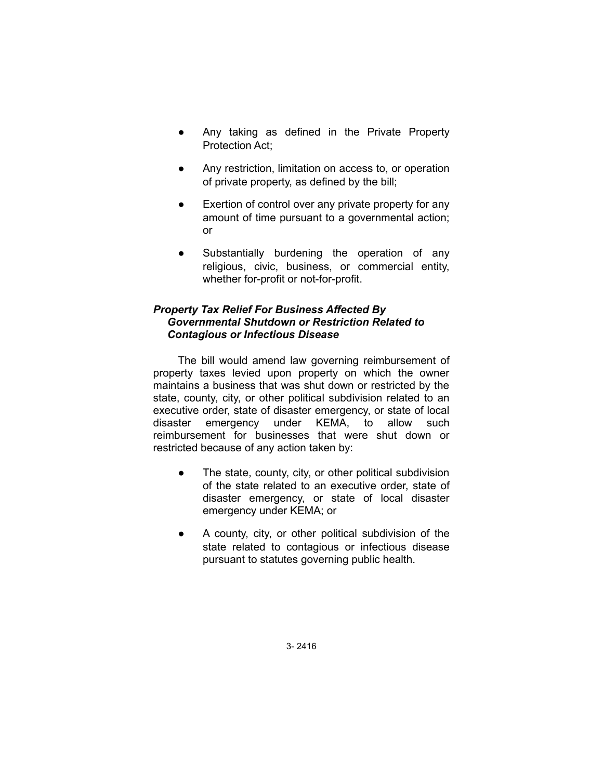- Any taking as defined in the Private Property Protection Act;
- Any restriction, limitation on access to, or operation of private property, as defined by the bill;
- Exertion of control over any private property for any amount of time pursuant to a governmental action; or
- Substantially burdening the operation of any religious, civic, business, or commercial entity, whether for-profit or not-for-profit.

# *Property Tax Relief For Business Affected By Governmental Shutdown or Restriction Related to Contagious or Infectious Disease*

The bill would amend law governing reimbursement of property taxes levied upon property on which the owner maintains a business that was shut down or restricted by the state, county, city, or other political subdivision related to an executive order, state of disaster emergency, or state of local disaster emergency under KEMA, to allow such reimbursement for businesses that were shut down or restricted because of any action taken by:

- The state, county, city, or other political subdivision of the state related to an executive order, state of disaster emergency, or state of local disaster emergency under KEMA; or
- A county, city, or other political subdivision of the state related to contagious or infectious disease pursuant to statutes governing public health.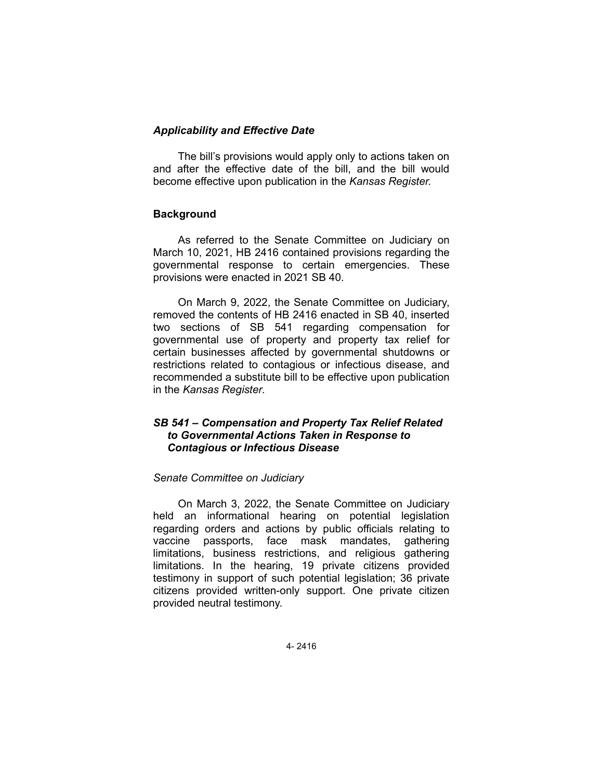## *Applicability and Effective Date*

The bill's provisions would apply only to actions taken on and after the effective date of the bill, and the bill would become effective upon publication in the *Kansas Register.*

## **Background**

As referred to the Senate Committee on Judiciary on March 10, 2021, HB 2416 contained provisions regarding the governmental response to certain emergencies. These provisions were enacted in 2021 SB 40.

On March 9, 2022, the Senate Committee on Judiciary, removed the contents of HB 2416 enacted in SB 40, inserted two sections of SB 541 regarding compensation for governmental use of property and property tax relief for certain businesses affected by governmental shutdowns or restrictions related to contagious or infectious disease, and recommended a substitute bill to be effective upon publication in the *Kansas Register.*

# *SB 541 – Compensation and Property Tax Relief Related to Governmental Actions Taken in Response to Contagious or Infectious Disease*

#### *Senate Committee on Judiciary*

On March 3, 2022, the Senate Committee on Judiciary held an informational hearing on potential legislation regarding orders and actions by public officials relating to vaccine passports, face mask mandates, gathering limitations, business restrictions, and religious gathering limitations. In the hearing, 19 private citizens provided testimony in support of such potential legislation; 36 private citizens provided written-only support. One private citizen provided neutral testimony.

4- 2416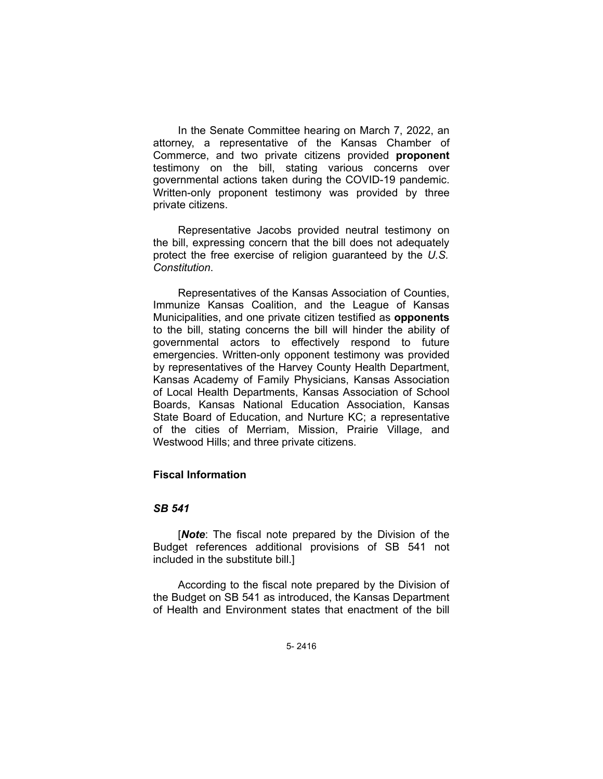In the Senate Committee hearing on March 7, 2022, an attorney, a representative of the Kansas Chamber of Commerce, and two private citizens provided **proponent** testimony on the bill, stating various concerns over governmental actions taken during the COVID-19 pandemic. Written-only proponent testimony was provided by three private citizens.

Representative Jacobs provided neutral testimony on the bill, expressing concern that the bill does not adequately protect the free exercise of religion guaranteed by the *U.S. Constitution*.

Representatives of the Kansas Association of Counties, Immunize Kansas Coalition, and the League of Kansas Municipalities, and one private citizen testified as **opponents** to the bill, stating concerns the bill will hinder the ability of governmental actors to effectively respond to future emergencies. Written-only opponent testimony was provided by representatives of the Harvey County Health Department, Kansas Academy of Family Physicians, Kansas Association of Local Health Departments, Kansas Association of School Boards, Kansas National Education Association, Kansas State Board of Education, and Nurture KC; a representative of the cities of Merriam, Mission, Prairie Village, and Westwood Hills; and three private citizens.

## **Fiscal Information**

#### *SB 541*

[*Note*: The fiscal note prepared by the Division of the Budget references additional provisions of SB 541 not included in the substitute bill.]

According to the fiscal note prepared by the Division of the Budget on SB 541 as introduced, the Kansas Department of Health and Environment states that enactment of the bill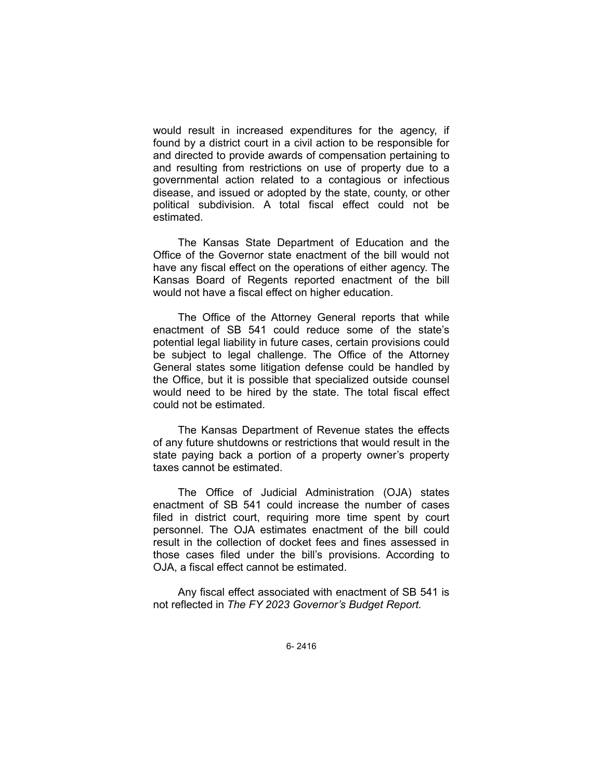would result in increased expenditures for the agency, if found by a district court in a civil action to be responsible for and directed to provide awards of compensation pertaining to and resulting from restrictions on use of property due to a governmental action related to a contagious or infectious disease, and issued or adopted by the state, county, or other political subdivision. A total fiscal effect could not be estimated.

The Kansas State Department of Education and the Office of the Governor state enactment of the bill would not have any fiscal effect on the operations of either agency. The Kansas Board of Regents reported enactment of the bill would not have a fiscal effect on higher education.

The Office of the Attorney General reports that while enactment of SB 541 could reduce some of the state's potential legal liability in future cases, certain provisions could be subject to legal challenge. The Office of the Attorney General states some litigation defense could be handled by the Office, but it is possible that specialized outside counsel would need to be hired by the state. The total fiscal effect could not be estimated.

The Kansas Department of Revenue states the effects of any future shutdowns or restrictions that would result in the state paying back a portion of a property owner's property taxes cannot be estimated.

The Office of Judicial Administration (OJA) states enactment of SB 541 could increase the number of cases filed in district court, requiring more time spent by court personnel. The OJA estimates enactment of the bill could result in the collection of docket fees and fines assessed in those cases filed under the bill's provisions. According to OJA, a fiscal effect cannot be estimated.

Any fiscal effect associated with enactment of SB 541 is not reflected in *The FY 2023 Governor's Budget Report.*